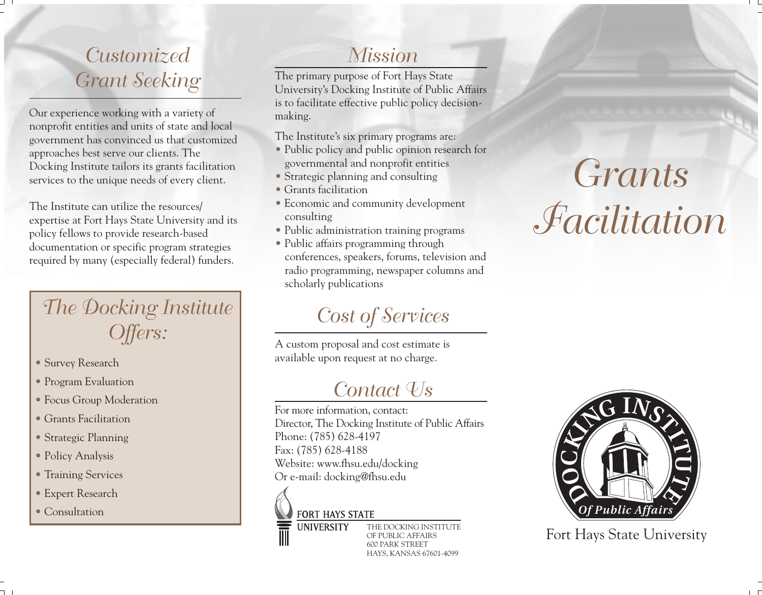## *Customized Grant Seeking*

Our experience working with a variety of nonprofit entities and units of state and local government has convinced us that customized approaches best serve our clients. The Docking Institute tailors its grants facilitation services to the unique needs of every client.

The Institute can utilize the resources/ expertise at Fort Hays State University and its policy fellows to provide research-based documentation or specific program strategies required by many (especially federal) funders.

## *The Docking Institute Offers:*

- Survey Research
- Program Evaluation
- Focus Group Moderation
- Grants Facilitation
- Strategic Planning
- Policy Analysis
- Training Services
- Expert Research
- Consultation

### *Mission*

The primary purpose of Fort Hays State University's Docking Institute of Public Affairs is to facilitate effective public policy decisionmaking.

The Institute's six primary programs are:

- Public policy and public opinion research for governmental and nonprofit entities
- Strategic planning and consulting
- Grants facilitation
- Economic and community development consulting
- Public administration training programs
- Public affairs programming through conferences, speakers, forums, television and radio programming, newspaper columns and scholarly publications

## *Cost of Services*

A custom proposal and cost estimate is available upon request at no charge.

## *Contact Us*

For more information, contact: Director, The Docking Institute of Public Affairs Phone: (785) 628-4197 Fax: (785) 628-4188 Website: www.fhsu.edu/docking Or e-mail: docking@fhsu.edu

#### **FORT HAYS STATE**

**UNIVERSITY** 

THE DOCKING INSTITUTE OF PUBLIC AFFAIRS 600 PARK STREET HAYS, KANSAS 67601-4099

# *Grants Facilitation*



Fort Hays State University